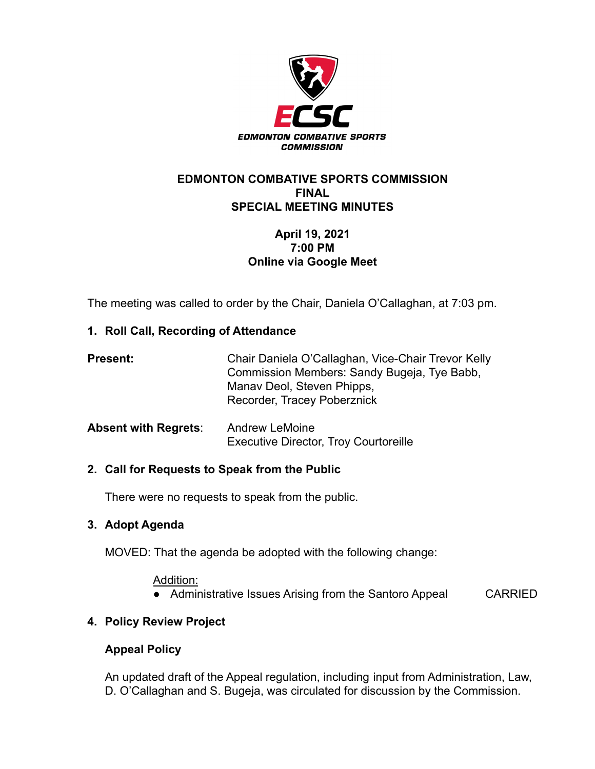

### **EDMONTON COMBATIVE SPORTS COMMISSION FINAL SPECIAL MEETING MINUTES**

# **April 19, 2021 7:00 PM Online via Google Meet**

The meeting was called to order by the Chair, Daniela O'Callaghan, at 7:03 pm.

# **1. Roll Call, Recording of Attendance**

| <b>Present:</b>             | Chair Daniela O'Callaghan, Vice-Chair Trevor Kelly<br>Commission Members: Sandy Bugeja, Tye Babb,<br>Manav Deol, Steven Phipps,<br>Recorder, Tracey Poberznick |
|-----------------------------|----------------------------------------------------------------------------------------------------------------------------------------------------------------|
| <b>Absent with Regrets:</b> | <b>Andrew LeMoine</b><br><b>Executive Director, Troy Courtoreille</b>                                                                                          |

## **2. Call for Requests to Speak from the Public**

There were no requests to speak from the public.

## **3. Adopt Agenda**

MOVED: That the agenda be adopted with the following change:

#### Addition:

• Administrative Issues Arising from the Santoro Appeal CARRIED

# **4. Policy Review Project**

## **Appeal Policy**

An updated draft of the Appeal regulation, including input from Administration, Law, D. O'Callaghan and S. Bugeja, was circulated for discussion by the Commission.